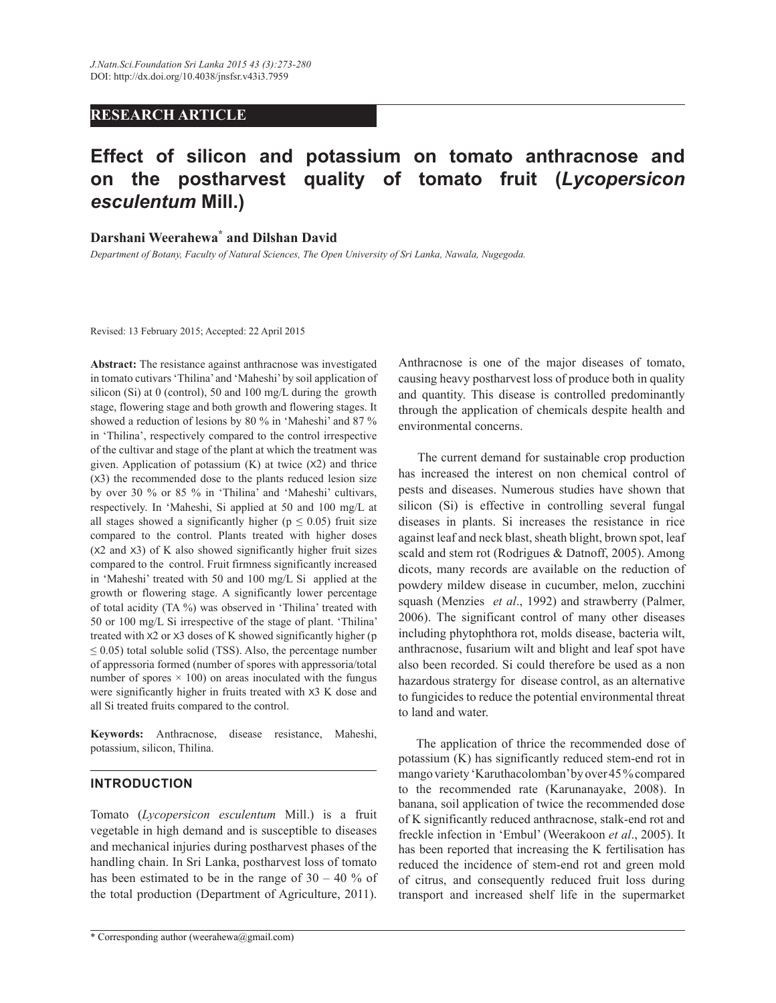# **RESEARCH ARTICLE**

# **Effect of silicon and potassium on tomato anthracnose and on the postharvest quality of tomato fruit (***Lycopersicon esculentum* **Mill.)**

# **Darshani Weerahewa\* and Dilshan David**

*Department of Botany, Faculty of Natural Sciences, The Open University of Sri Lanka, Nawala, Nugegoda.*

Revised: 13 February 2015; Accepted: 22 April 2015

**Abstract:** The resistance against anthracnose was investigated in tomato cutivars 'Thilina' and 'Maheshi' by soil application of silicon (Si) at 0 (control), 50 and 100 mg/L during the growth stage, flowering stage and both growth and flowering stages. It showed a reduction of lesions by 80 % in 'Maheshi' and 87 % in 'Thilina', respectively compared to the control irrespective of the cultivar and stage of the plant at which the treatment was given. Application of potassium  $(K)$  at twice  $(X2)$  and thrice (X3) the recommended dose to the plants reduced lesion size by over 30 % or 85 % in 'Thilina' and 'Maheshi' cultivars, respectively. In 'Maheshi, Si applied at 50 and 100 mg/L at all stages showed a significantly higher ( $p \le 0.05$ ) fruit size compared to the control. Plants treated with higher doses (X2 and X3) of K also showed significantly higher fruit sizes compared to the control. Fruit firmness significantly increased in 'Maheshi' treated with 50 and 100 mg/L Si applied at the growth or flowering stage. A significantly lower percentage of total acidity (TA %) was observed in 'Thilina' treated with 50 or 100 mg/L Si irrespective of the stage of plant. 'Thilina' treated with X2 or X3 doses of K showed significantly higher (p  $\leq$  0.05) total soluble solid (TSS). Also, the percentage number of appressoria formed (number of spores with appressoria/total number of spores  $\times$  100) on areas inoculated with the fungus were significantly higher in fruits treated with X3 K dose and all Si treated fruits compared to the control.

**Keywords:** Anthracnose, disease resistance, Maheshi, potassium, silicon, Thilina.

## **INTRODUCTION**

Tomato (*Lycopersicon esculentum* Mill.) is a fruit vegetable in high demand and is susceptible to diseases and mechanical injuries during postharvest phases of the handling chain. In Sri Lanka, postharvest loss of tomato has been estimated to be in the range of  $30 - 40$  % of the total production (Department of Agriculture, 2011).

\* Corresponding author (weerahewa@gmail.com)

Anthracnose is one of the major diseases of tomato, causing heavy postharvest loss of produce both in quality and quantity. This disease is controlled predominantly through the application of chemicals despite health and environmental concerns.

 The current demand for sustainable crop production has increased the interest on non chemical control of pests and diseases. Numerous studies have shown that silicon (Si) is effective in controlling several fungal diseases in plants. Si increases the resistance in rice against leaf and neck blast, sheath blight, brown spot, leaf scald and stem rot (Rodrigues & Datnoff, 2005). Among dicots, many records are available on the reduction of powdery mildew disease in cucumber, melon, zucchini squash (Menzies *et al*., 1992) and strawberry (Palmer, 2006). The significant control of many other diseases including phytophthora rot, molds disease, bacteria wilt, anthracnose, fusarium wilt and blight and leaf spot have also been recorded. Si could therefore be used as a non hazardous stratergy for disease control, as an alternative to fungicides to reduce the potential environmental threat to land and water.

 The application of thrice the recommended dose of potassium (K) has significantly reduced stem-end rot in mango variety 'Karuthacolomban' by over 45 % compared to the recommended rate (Karunanayake, 2008). In banana, soil application of twice the recommended dose of K significantly reduced anthracnose, stalk-end rot and freckle infection in 'Embul' (Weerakoon *et al*., 2005). It has been reported that increasing the K fertilisation has reduced the incidence of stem-end rot and green mold of citrus, and consequently reduced fruit loss during transport and increased shelf life in the supermarket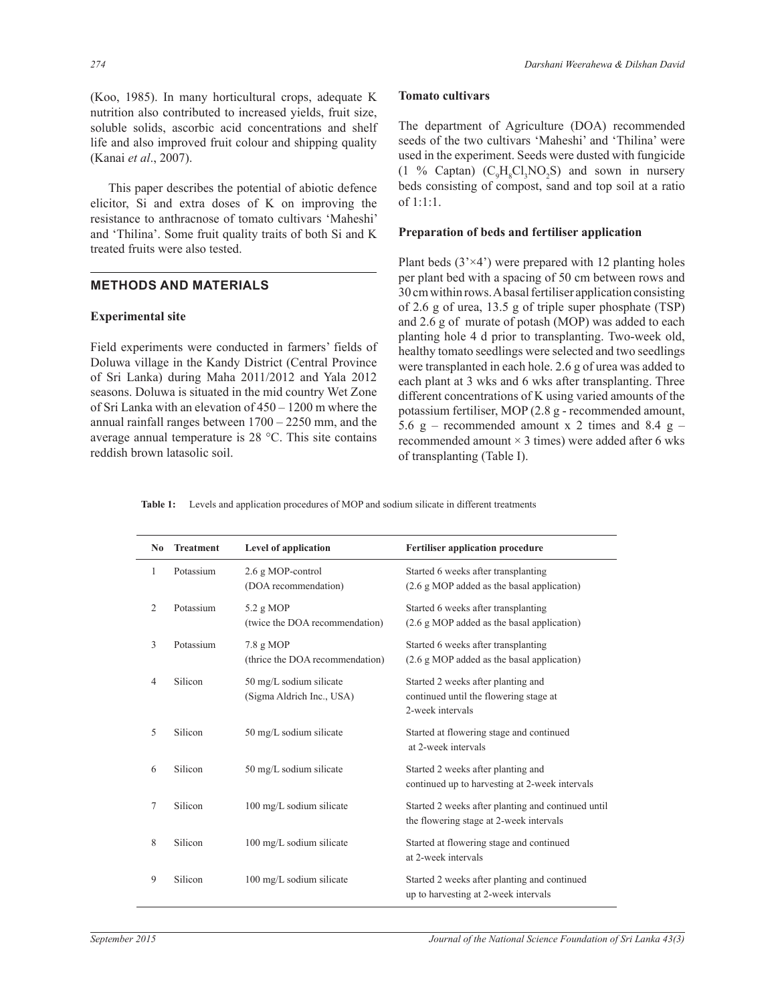(Koo, 1985). In many horticultural crops, adequate K nutrition also contributed to increased yields, fruit size, soluble solids, ascorbic acid concentrations and shelf life and also improved fruit colour and shipping quality (Kanai *et al*., 2007).

 This paper describes the potential of abiotic defence elicitor, Si and extra doses of K on improving the resistance to anthracnose of tomato cultivars 'Maheshi' and 'Thilina'. Some fruit quality traits of both Si and K treated fruits were also tested.

## **METHODS AND MATERIALS**

#### **Experimental site**

Field experiments were conducted in farmers' fields of Doluwa village in the Kandy District (Central Province of Sri Lanka) during Maha 2011/2012 and Yala 2012 seasons. Doluwa is situated in the mid country Wet Zone of Sri Lanka with an elevation of  $450 - 1200$  m where the annual rainfall ranges between  $1700 - 2250$  mm, and the average annual temperature is 28 °C. This site contains reddish brown latasolic soil.

#### **Tomato cultivars**

The department of Agriculture (DOA) recommended seeds of the two cultivars 'Maheshi' and 'Thilina' were used in the experiment. Seeds were dusted with fungicide  $(1 \%$  Captan)  $(C_9H_8Cl_3NO_2S)$  and sown in nursery beds consisting of compost, sand and top soil at a ratio of 1:1:1.

## **Preparation of beds and fertiliser application**

Plant beds  $(3 \times 4)$  were prepared with 12 planting holes per plant bed with a spacing of 50 cm between rows and 30 cm within rows. A basal fertiliser application consisting of 2.6 g of urea, 13.5 g of triple super phosphate (TSP) and 2.6 g of murate of potash (MOP) was added to each planting hole 4 d prior to transplanting. Two-week old, healthy tomato seedlings were selected and two seedlings were transplanted in each hole. 2.6 g of urea was added to each plant at 3 wks and 6 wks after transplanting. Three different concentrations of K using varied amounts of the potassium fertiliser, MOP (2.8 g - recommended amount, 5.6 g – recommended amount x 2 times and 8.4 g – recommended amount  $\times$  3 times) were added after 6 wks of transplanting (Table I).

**Table 1:** Levels and application procedures of MOP and sodium silicate in different treatments

| N <sub>0</sub> | <b>Treatment</b> | Level of application                                 | <b>Fertiliser application procedure</b>                                                          |
|----------------|------------------|------------------------------------------------------|--------------------------------------------------------------------------------------------------|
| 1              | Potassium        | 2.6 g MOP-control<br>(DOA recommendation)            | Started 6 weeks after transplanting<br>(2.6 g MOP added as the basal application)                |
| 2              | Potassium        | 5.2 g MOP<br>(twice the DOA recommendation)          | Started 6 weeks after transplanting<br>(2.6 g MOP added as the basal application)                |
| 3              | Potassium        | $7.8$ g MOP<br>(thrice the DOA recommendation)       | Started 6 weeks after transplanting<br>(2.6 g MOP added as the basal application)                |
| 4              | Silicon          | 50 mg/L sodium silicate<br>(Sigma Aldrich Inc., USA) | Started 2 weeks after planting and<br>continued until the flowering stage at<br>2-week intervals |
| 5              | Silicon          | 50 mg/L sodium silicate                              | Started at flowering stage and continued<br>at 2-week intervals                                  |
| 6              | Silicon          | 50 mg/L sodium silicate                              | Started 2 weeks after planting and<br>continued up to harvesting at 2-week intervals             |
| 7              | Silicon          | 100 mg/L sodium silicate                             | Started 2 weeks after planting and continued until<br>the flowering stage at 2-week intervals    |
| 8              | Silicon          | 100 mg/L sodium silicate                             | Started at flowering stage and continued<br>at 2-week intervals                                  |
| 9              | Silicon          | 100 mg/L sodium silicate                             | Started 2 weeks after planting and continued<br>up to harvesting at 2-week intervals             |
|                |                  |                                                      |                                                                                                  |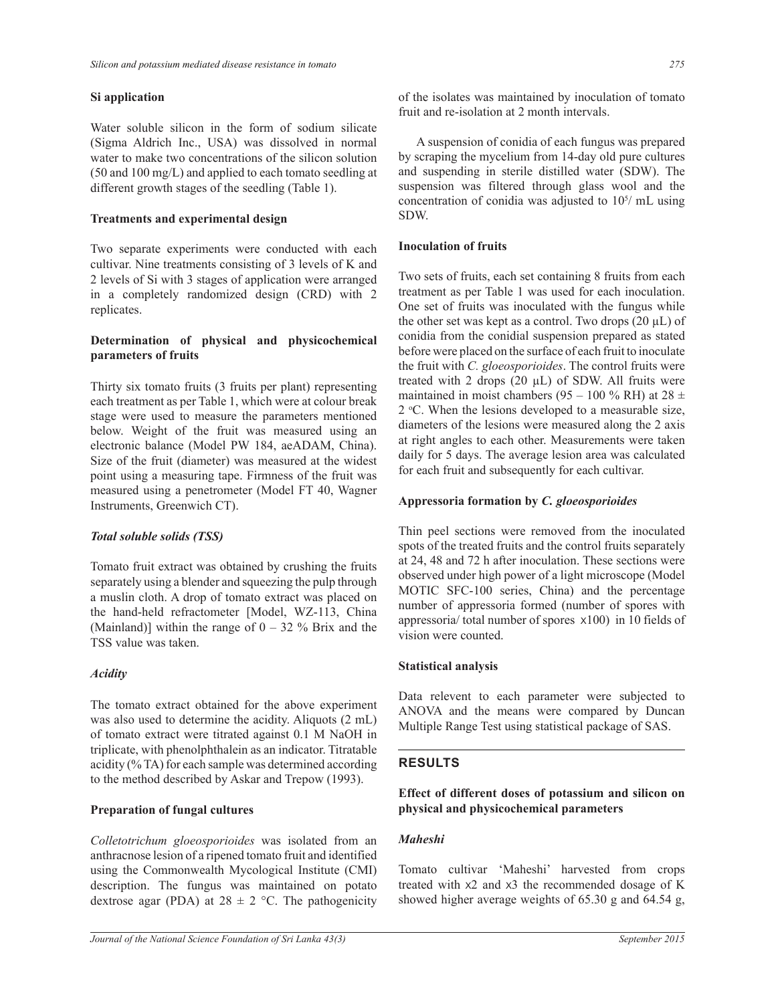#### **Si application**

Water soluble silicon in the form of sodium silicate (Sigma Aldrich Inc., USA) was dissolved in normal water to make two concentrations of the silicon solution (50 and 100 mg/L) and applied to each tomato seedling at different growth stages of the seedling (Table 1).

#### **Treatments and experimental design**

Two separate experiments were conducted with each cultivar. Nine treatments consisting of 3 levels of K and 2 levels of Si with 3 stages of application were arranged in a completely randomized design (CRD) with 2 replicates.

## **Determination of physical and physicochemical parameters of fruits**

Thirty six tomato fruits (3 fruits per plant) representing each treatment as per Table 1, which were at colour break stage were used to measure the parameters mentioned below. Weight of the fruit was measured using an electronic balance (Model PW 184, aeADAM, China). Size of the fruit (diameter) was measured at the widest point using a measuring tape. Firmness of the fruit was measured using a penetrometer (Model FT 40, Wagner Instruments, Greenwich CT).

#### *Total soluble solids (TSS)*

Tomato fruit extract was obtained by crushing the fruits separately using a blender and squeezing the pulp through a muslin cloth. A drop of tomato extract was placed on the hand-held refractometer [Model, WZ-113, China (Mainland)] within the range of  $0 - 32$  % Brix and the TSS value was taken.

#### *Acidity*

The tomato extract obtained for the above experiment was also used to determine the acidity. Aliquots (2 mL) of tomato extract were titrated against 0.1 M NaOH in triplicate, with phenolphthalein as an indicator. Titratable acidity (% TA) for each sample was determined according to the method described by Askar and Trepow (1993).

#### **Preparation of fungal cultures**

*Colletotrichum gloeosporioides* was isolated from an anthracnose lesion of a ripened tomato fruit and identified using the Commonwealth Mycological Institute (CMI) description. The fungus was maintained on potato dextrose agar (PDA) at  $28 \pm 2$  °C. The pathogenicity of the isolates was maintained by inoculation of tomato fruit and re-isolation at 2 month intervals.

 A suspension of conidia of each fungus was prepared by scraping the mycelium from 14-day old pure cultures and suspending in sterile distilled water (SDW). The suspension was filtered through glass wool and the concentration of conidia was adjusted to  $10^{5/$  mL using SDW.

#### **Inoculation of fruits**

Two sets of fruits, each set containing 8 fruits from each treatment as per Table 1 was used for each inoculation. One set of fruits was inoculated with the fungus while the other set was kept as a control. Two drops  $(20 \mu L)$  of conidia from the conidial suspension prepared as stated before were placed on the surface of each fruit to inoculate the fruit with *C. gloeosporioides*. The control fruits were treated with 2 drops  $(20 \mu L)$  of SDW. All fruits were maintained in moist chambers (95 – 100 % RH) at 28  $\pm$  $2^{\circ}$ C. When the lesions developed to a measurable size, diameters of the lesions were measured along the 2 axis at right angles to each other. Measurements were taken daily for 5 days. The average lesion area was calculated for each fruit and subsequently for each cultivar.

#### **Appressoria formation by** *C. gloeosporioides*

Thin peel sections were removed from the inoculated spots of the treated fruits and the control fruits separately at 24, 48 and 72 h after inoculation. These sections were observed under high power of a light microscope (Model MOTIC SFC-100 series, China) and the percentage number of appressoria formed (number of spores with appressoria/ total number of spores X100) in 10 fields of vision were counted.

#### **Statistical analysis**

Data relevent to each parameter were subjected to ANOVA and the means were compared by Duncan Multiple Range Test using statistical package of SAS.

#### **RESULTS**

**Effect of different doses of potassium and silicon on physical and physicochemical parameters** 

## *Maheshi*

Tomato cultivar 'Maheshi' harvested from crops treated with X2 and X3 the recommended dosage of K showed higher average weights of 65.30 g and 64.54 g,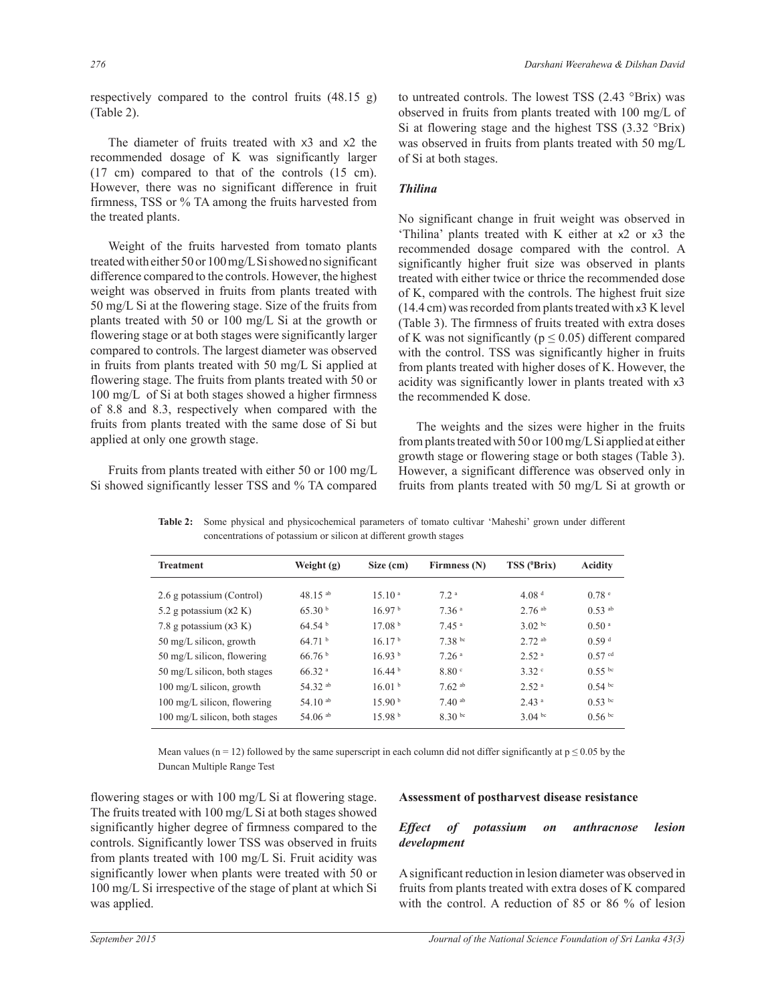respectively compared to the control fruits (48.15 g) (Table 2).

 The diameter of fruits treated with X3 and X2 the recommended dosage of K was significantly larger (17 cm) compared to that of the controls (15 cm). However, there was no significant difference in fruit firmness, TSS or % TA among the fruits harvested from the treated plants.

 Weight of the fruits harvested from tomato plants treated with either 50 or 100 mg/L Si showed no significant difference compared to the controls. However, the highest weight was observed in fruits from plants treated with 50 mg/L Si at the flowering stage. Size of the fruits from plants treated with 50 or 100 mg/L Si at the growth or flowering stage or at both stages were significantly larger compared to controls. The largest diameter was observed in fruits from plants treated with 50 mg/L Si applied at flowering stage. The fruits from plants treated with 50 or 100 mg/L of Si at both stages showed a higher firmness of 8.8 and 8.3, respectively when compared with the fruits from plants treated with the same dose of Si but applied at only one growth stage.

 Fruits from plants treated with either 50 or 100 mg/L Si showed significantly lesser TSS and % TA compared

to untreated controls. The lowest TSS (2.43 °Brix) was observed in fruits from plants treated with 100 mg/L of Si at flowering stage and the highest TSS (3.32 °Brix) was observed in fruits from plants treated with 50 mg/L of Si at both stages.

## *Thilina*

No significant change in fruit weight was observed in 'Thilina' plants treated with K either at x2 or x3 the recommended dosage compared with the control. A significantly higher fruit size was observed in plants treated with either twice or thrice the recommended dose of K, compared with the controls. The highest fruit size (14.4 cm) was recorded from plants treated with x3 K level (Table 3). The firmness of fruits treated with extra doses of K was not significantly ( $p \le 0.05$ ) different compared with the control. TSS was significantly higher in fruits from plants treated with higher doses of K. However, the acidity was significantly lower in plants treated with x3 the recommended K dose.

 The weights and the sizes were higher in the fruits from plants treated with 50 or 100 mg/L Si applied at either growth stage or flowering stage or both stages (Table 3). However, a significant difference was observed only in fruits from plants treated with 50 mg/L Si at growth or

| Weight (g)         | Size (cm)                           | Firmness (N)                            | $TSS$ ( $Brix$ )                     | <b>Acidity</b>                            |
|--------------------|-------------------------------------|-----------------------------------------|--------------------------------------|-------------------------------------------|
|                    |                                     |                                         |                                      | 0.78 <sup>e</sup>                         |
|                    |                                     |                                         |                                      |                                           |
|                    |                                     |                                         |                                      | $0.53$ <sup>ab</sup>                      |
| 64.54 <sup>b</sup> | 17.08 <sup>b</sup>                  | 7.45a                                   | $3.02 \text{ bc}$                    | 0.50 <sup>a</sup>                         |
| 64.71 <sup>b</sup> | 16.17 <sup>b</sup>                  | 7.38 bc                                 | $2.72$ ab                            | 0.59 <sup>d</sup>                         |
| 66.76 <sup>b</sup> | 16.93 <sup>b</sup>                  | 7.26 <sup>a</sup>                       | 2.52 <sup>a</sup>                    | $0.57$ <sup>cd</sup>                      |
| 66.32 <sup>a</sup> | 16.44 <sup>b</sup>                  | 8.80 <sup>c</sup>                       | 3.32°                                | $0.55$ bc                                 |
| 54.32 ab           | 16.01 <sup>b</sup>                  | $7.62$ ab                               | 2.52 <sup>a</sup>                    | $0.54$ bc                                 |
| 54.10 $^{ab}$      | 15.90 <sup>b</sup>                  | $7.40^{ab}$                             | 2.43 <sup>a</sup>                    | $0.53$ bc                                 |
| 54.06 $^{ab}$      | 15.98 <sup>b</sup>                  | $8.30^{b}$                              | 3.04 bc                              | 0.56 <sup>bc</sup>                        |
|                    | 48.15 $^{ab}$<br>65.30 <sup>b</sup> | 1510 <sup>a</sup><br>16.97 <sup>b</sup> | 72 <sup>a</sup><br>7.36 <sup>a</sup> | 4.08 <sup>d</sup><br>$2.76$ <sup>ab</sup> |

**Table 2:** Some physical and physicochemical parameters of tomato cultivar 'Maheshi' grown under different concentrations of potassium or silicon at different growth stages

Mean values (n = 12) followed by the same superscript in each column did not differ significantly at  $p \le 0.05$  by the Duncan Multiple Range Test

flowering stages or with 100 mg/L Si at flowering stage. The fruits treated with 100 mg/L Si at both stages showed significantly higher degree of firmness compared to the controls. Significantly lower TSS was observed in fruits from plants treated with 100 mg/L Si. Fruit acidity was significantly lower when plants were treated with 50 or 100 mg/L Si irrespective of the stage of plant at which Si was applied.

#### **Assessment of postharvest disease resistance**

## *Effect of potassium on anthracnose lesion development*

A significant reduction in lesion diameter was observed in fruits from plants treated with extra doses of K compared with the control. A reduction of 85 or 86 % of lesion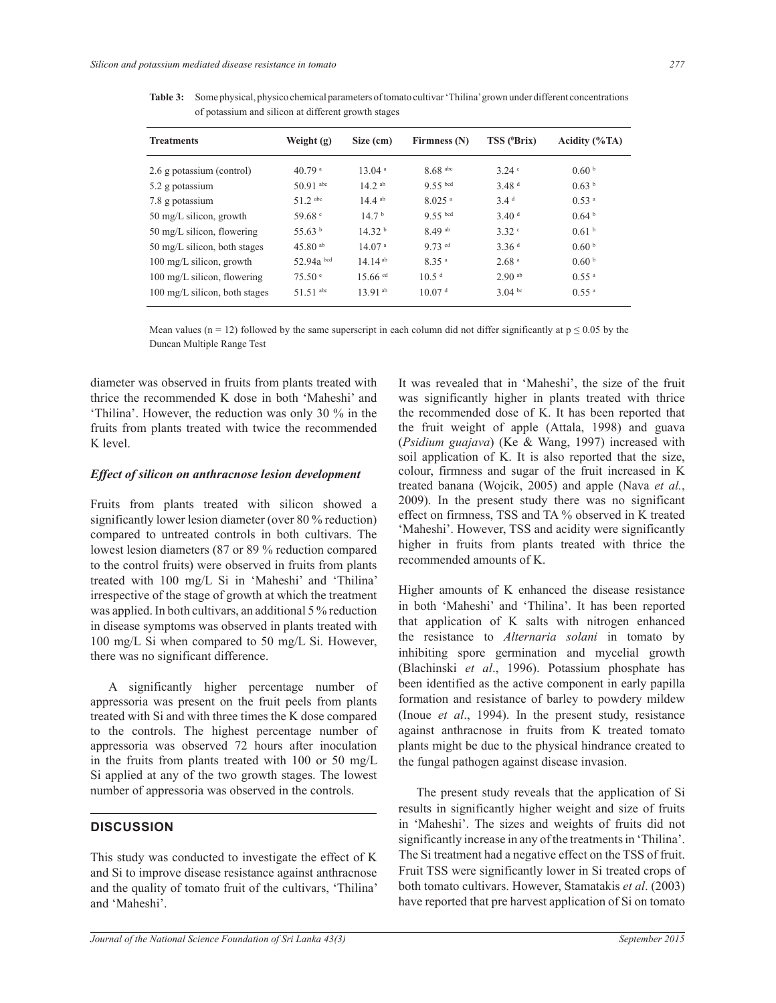**Table 3:** Some physical, physico chemical parameters of tomato cultivar 'Thilina' grown under different concentrations of potassium and silicon at different growth stages

| <b>Treatments</b>             | Weight (g)           | Size (cm)             | Firmness (N)          | TSS ( <sup>0</sup> Brix) | Acidity $(\%TA)$    |
|-------------------------------|----------------------|-----------------------|-----------------------|--------------------------|---------------------|
| 2.6 g potassium (control)     | $40.79$ <sup>a</sup> | 13.04 <sup>a</sup>    | $8.68$ <sup>abc</sup> | $3.24$ $\degree$         | 0.60 <sup>b</sup>   |
| 5.2 g potassium               | $50.91$ abc          | $14.2^{ab}$           | $9.55$ bcd            | 3.48 <sup>d</sup>        | 0.63 <sup>b</sup>   |
| 7.8 g potassium               | $51.2$ abc           | $14.4$ ab             | $8.025$ <sup>a</sup>  | 3.4 <sup>d</sup>         | 0.53 <sup>a</sup>   |
| 50 mg/L silicon, growth       | 59.68 $\degree$      | 14.7 <sup>b</sup>     | $9.55$ bcd            | 3.40 <sup>d</sup>        | 0.64 <sup>b</sup>   |
| 50 mg/L silicon, flowering    | 55.63 $^{\rm b}$     | 14.32 <sup>b</sup>    | $8.49$ <sup>ab</sup>  | 3.32°                    | 0.61 <sup>b</sup>   |
| 50 mg/L silicon, both stages  | 45.80 $^{ab}$        | 14.07 <sup>a</sup>    | $9.73$ cd             | 3.36 <sup>d</sup>        | 0.60 <sup>b</sup>   |
| 100 mg/L silicon, growth      | 52.94a bcd           | $14.14^{ab}$          | 8.35 <sup>a</sup>     | 2.68 <sup>a</sup>        | 0.60 <sup>b</sup>   |
| 100 mg/L silicon, flowering   | 75.50 e              | $15.66$ <sup>cd</sup> | 10.5 <sup>d</sup>     | $2.90$ ab                | $0.55$ <sup>a</sup> |
| 100 mg/L silicon, both stages | $51.51$ abc          | $13.91^{ab}$          | 10.07 <sup>d</sup>    | $3.04 \text{ bc}$        | $0.55$ <sup>a</sup> |

Mean values (n = 12) followed by the same superscript in each column did not differ significantly at  $p \le 0.05$  by the Duncan Multiple Range Test

diameter was observed in fruits from plants treated with thrice the recommended K dose in both 'Maheshi' and 'Thilina'. However, the reduction was only 30 % in the fruits from plants treated with twice the recommended K level.

#### *Effect of silicon on anthracnose lesion development*

Fruits from plants treated with silicon showed a significantly lower lesion diameter (over 80 % reduction) compared to untreated controls in both cultivars. The lowest lesion diameters (87 or 89 % reduction compared to the control fruits) were observed in fruits from plants treated with 100 mg/L Si in 'Maheshi' and 'Thilina' irrespective of the stage of growth at which the treatment was applied. In both cultivars, an additional 5 % reduction in disease symptoms was observed in plants treated with 100 mg/L Si when compared to 50 mg/L Si. However, there was no significant difference.

 A significantly higher percentage number of appressoria was present on the fruit peels from plants treated with Si and with three times the K dose compared to the controls. The highest percentage number of appressoria was observed 72 hours after inoculation in the fruits from plants treated with 100 or 50 mg/L Si applied at any of the two growth stages. The lowest number of appressoria was observed in the controls.

#### **DISCUSSION**

This study was conducted to investigate the effect of K and Si to improve disease resistance against anthracnose and the quality of tomato fruit of the cultivars, 'Thilina' and 'Maheshi'.

It was revealed that in 'Maheshi', the size of the fruit was significantly higher in plants treated with thrice the recommended dose of K. It has been reported that the fruit weight of apple (Attala, 1998) and guava (*Psidium guajava*) (Ke & Wang, 1997) increased with soil application of K. It is also reported that the size, colour, firmness and sugar of the fruit increased in K treated banana (Wojcik, 2005) and apple (Nava *et al.*, 2009). In the present study there was no significant effect on firmness, TSS and TA % observed in K treated 'Maheshi'. However, TSS and acidity were significantly higher in fruits from plants treated with thrice the recommended amounts of K.

Higher amounts of K enhanced the disease resistance in both 'Maheshi' and 'Thilina'. It has been reported that application of K salts with nitrogen enhanced the resistance to *Alternaria solani* in tomato by inhibiting spore germination and mycelial growth (Blachinski *et al*., 1996). Potassium phosphate has been identified as the active component in early papilla formation and resistance of barley to powdery mildew (Inoue *et al*., 1994). In the present study, resistance against anthracnose in fruits from K treated tomato plants might be due to the physical hindrance created to the fungal pathogen against disease invasion.

 The present study reveals that the application of Si results in significantly higher weight and size of fruits in 'Maheshi'. The sizes and weights of fruits did not significantly increase in any of the treatments in 'Thilina'. The Si treatment had a negative effect on the TSS of fruit. Fruit TSS were significantly lower in Si treated crops of both tomato cultivars. However, Stamatakis *et al*. (2003) have reported that pre harvest application of Si on tomato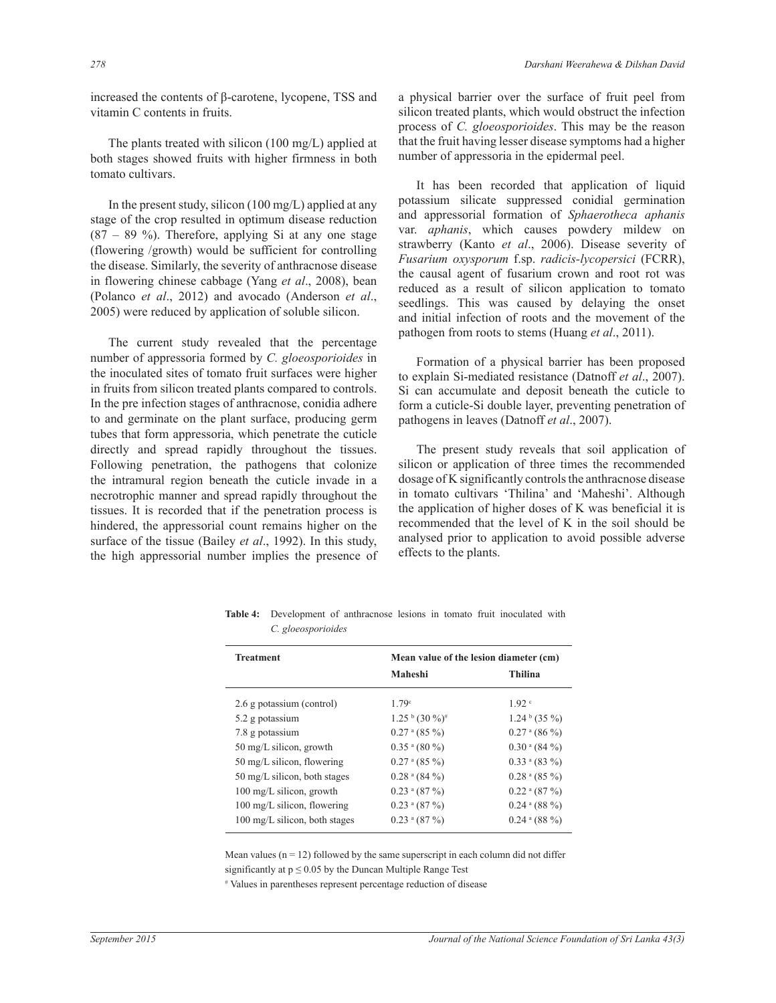increased the contents of β-carotene, lycopene, TSS and vitamin C contents in fruits.

 The plants treated with silicon (100 mg/L) applied at both stages showed fruits with higher firmness in both tomato cultivars.

 In the present study, silicon (100 mg/L) applied at any stage of the crop resulted in optimum disease reduction  $(87 - 89)$ %). Therefore, applying Si at any one stage (flowering /growth) would be sufficient for controlling the disease. Similarly, the severity of anthracnose disease in flowering chinese cabbage (Yang *et al*., 2008), bean (Polanco *et al*., 2012) and avocado (Anderson *et al*., 2005) were reduced by application of soluble silicon.

 The current study revealed that the percentage number of appressoria formed by *C. gloeosporioides* in the inoculated sites of tomato fruit surfaces were higher in fruits from silicon treated plants compared to controls. In the pre infection stages of anthracnose, conidia adhere to and germinate on the plant surface, producing germ tubes that form appressoria, which penetrate the cuticle directly and spread rapidly throughout the tissues. Following penetration, the pathogens that colonize the intramural region beneath the cuticle invade in a necrotrophic manner and spread rapidly throughout the tissues. It is recorded that if the penetration process is hindered, the appressorial count remains higher on the surface of the tissue (Bailey *et al*., 1992). In this study, the high appressorial number implies the presence of a physical barrier over the surface of fruit peel from silicon treated plants, which would obstruct the infection process of *C. gloeosporioides*. This may be the reason that the fruit having lesser disease symptoms had a higher number of appressoria in the epidermal peel.

 It has been recorded that application of liquid potassium silicate suppressed conidial germination and appressorial formation of *Sphaerotheca aphanis* var. *aphanis*, which causes powdery mildew on strawberry (Kanto *et al*., 2006). Disease severity of *Fusarium oxysporum* f.sp. *radicis-lycopersici* (FCRR), the causal agent of fusarium crown and root rot was reduced as a result of silicon application to tomato seedlings. This was caused by delaying the onset and initial infection of roots and the movement of the pathogen from roots to stems (Huang *et al*., 2011).

 Formation of a physical barrier has been proposed to explain Si-mediated resistance (Datnoff *et al*., 2007). Si can accumulate and deposit beneath the cuticle to form a cuticle-Si double layer, preventing penetration of pathogens in leaves (Datnoff *et al*., 2007).

 The present study reveals that soil application of silicon or application of three times the recommended dosage of K significantly controls the anthracnose disease in tomato cultivars 'Thilina' and 'Maheshi'. Although the application of higher doses of K was beneficial it is recommended that the level of K in the soil should be analysed prior to application to avoid possible adverse effects to the plants.

| Mean value of the lesion diameter (cm) |
|----------------------------------------|
|                                        |
| Thilina                                |
| 1.92 <sup>c</sup>                      |
| $1.24b$ (35 %)                         |
| $0.27$ <sup>a</sup> (86 %)             |
| $0.30$ <sup>a</sup> (84 %)             |
| $0.33$ <sup>a</sup> (83 %)             |
| $0.28$ <sup>a</sup> (85 %)             |
| $0.22$ <sup>a</sup> (87 %)             |
| $0.24$ <sup>a</sup> (88 %)             |
| $0.24$ <sup>a</sup> (88 %)             |
|                                        |

**Table 4:** Development of anthracnose lesions in tomato fruit inoculated with *C. gloeosporioides* 

Mean values  $(n = 12)$  followed by the same superscript in each column did not differ significantly at  $p \le 0.05$  by the Duncan Multiple Range Test

# Values in parentheses represent percentage reduction of disease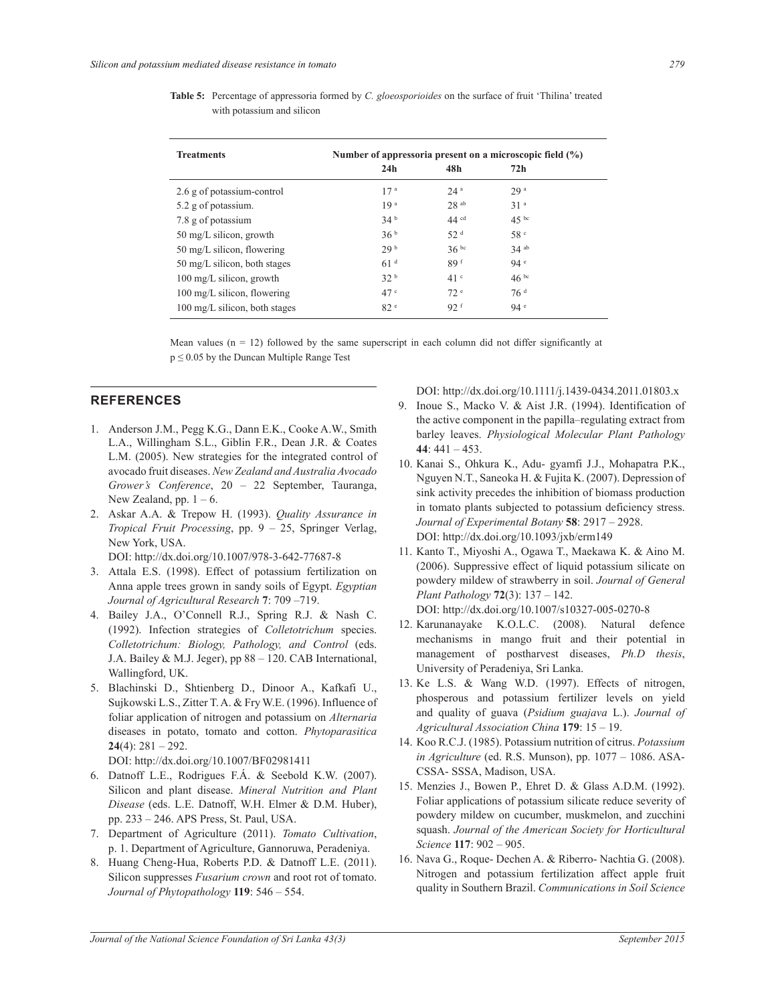| <b>Table 5:</b> Percentage of appressoria formed by C. gloeosporioides on the surface of fruit 'Thilina' treated |
|------------------------------------------------------------------------------------------------------------------|
| with potassium and silicon                                                                                       |

| <b>Treatments</b>                  | Number of appressoria present on a microscopic field $(\%)$ |                  |                 |  |
|------------------------------------|-------------------------------------------------------------|------------------|-----------------|--|
|                                    | 24h                                                         | 48h              | 72h             |  |
| 2.6 g of potassium-control         | 17 <sup>a</sup>                                             | 24a              | 29a             |  |
| 5.2 g of potassium.                | 19 <sup>a</sup>                                             | 28ab             | 31 <sup>a</sup> |  |
| 7.8 g of potassium                 | 34 <sup>b</sup>                                             | 44 <sup>cd</sup> | $45^{bc}$       |  |
| 50 mg/L silicon, growth            | 36 <sup>b</sup>                                             | 52 <sup>d</sup>  | 58 <sup>c</sup> |  |
| 50 mg/L silicon, flowering         | 29 <sup>b</sup>                                             | 36 <sup>bc</sup> | $34$ ab         |  |
| 50 mg/L silicon, both stages       | 61 <sup>d</sup>                                             | 89f              | 94 <sup>e</sup> |  |
| $100 \text{ mg/L}$ silicon, growth | 32 <sup>b</sup>                                             | 41 <sup>c</sup>  | $46^{bc}$       |  |
| 100 mg/L silicon, flowering        | 47 <sup>c</sup>                                             | 72 <sup>e</sup>  | 76 <sup>d</sup> |  |
| 100 mg/L silicon, both stages      | 82 <sup>e</sup>                                             | 92 <sup>f</sup>  | 94 <sup>e</sup> |  |

Mean values ( $n = 12$ ) followed by the same superscript in each column did not differ significantly at  $p \le 0.05$  by the Duncan Multiple Range Test

## **REFERENCES**

- 1. Anderson J.M., Pegg K.G., Dann E.K., Cooke A.W., Smith L.A., Willingham S.L., Giblin F.R., Dean J.R. & Coates L.M. (2005). New strategies for the integrated control of avocado fruit diseases. *New Zealand and Australia Avocado Grower's Conference*, 20 ‒ 22 September, Tauranga, New Zealand, pp.  $1 - 6$ .
- 2. Askar A.A. & Trepow H. (1993). *Quality Assurance in Tropical Fruit Processing*, pp. 9 ‒ 25, Springer Verlag, New York, USA.

DOI: http://dx.doi.org/10.1007/978-3-642-77687-8

- 3. Attala E.S. (1998). Effect of potassium fertilization on Anna apple trees grown in sandy soils of Egypt. *Egyptian Journal of Agricultural Research* **7**: 709 ‒719.
- 4. Bailey J.A., O'Connell R.J., Spring R.J. & Nash C. (1992). Infection strategies of *Colletotrichum* species. *Colletotrichum: Biology, Pathology, and Control* (eds. J.A. Bailey & M.J. Jeger), pp 88 – 120. CAB International, Wallingford, UK.
- 5. Blachinski D., Shtienberg D., Dinoor A., Kafkafi U., Sujkowski L.S., Zitter T. A. & Fry W.E. (1996). Influence of foliar application of nitrogen and potassium on *Alternaria*  diseases in potato, tomato and cotton. *Phytoparasitica*  **24**(4): 281 ‒ 292.

DOI: http://dx.doi.org/10.1007/BF02981411

- 6. Datnoff L.E., Rodrigues F.Á. & Seebold K.W. (2007). Silicon and plant disease. *Mineral Nutrition and Plant Disease* (eds. L.E. Datnoff, W.H. Elmer & D.M. Huber), pp. 233 ‒ 246. APS Press, St. Paul, USA.
- 7. Department of Agriculture (2011). *Tomato Cultivation*, p. 1. Department of Agriculture, Gannoruwa, Peradeniya.
- 8. Huang Cheng-Hua, Roberts P.D. & Datnoff L.E. (2011). Silicon suppresses *Fusarium crown* and root rot of tomato. *Journal of Phytopathology* **119**: 546 ‒ 554.

DOI: http://dx.doi.org/10.1111/j.1439-0434.2011.01803.x

- 9. Inoue S., Macko V. & Aist J.R. (1994). Identification of the active component in the papilla–regulating extract from barley leaves. *Physiological Molecular Plant Pathology*  $44: 441 - 453.$
- 10. Kanai S., Ohkura K., Adu- gyamfi J.J., Mohapatra P.K., Nguyen N.T., Saneoka H. & Fujita K. (2007). Depression of sink activity precedes the inhibition of biomass production in tomato plants subjected to potassium deficiency stress. *Journal of Experimental Botany* **58**: 2917 ‒ 2928. DOI: http://dx.doi.org/10.1093/jxb/erm149
- 11. Kanto T., Miyoshi A., Ogawa T., Maekawa K. & Aino M. (2006). Suppressive effect of liquid potassium silicate on powdery mildew of strawberry in soil. *Journal of General Plant Pathology* **72**(3): 137 ‒ 142. DOI: http://dx.doi.org/10.1007/s10327-005-0270-8
- 12. Karunanayake K.O.L.C. (2008). Natural defence mechanisms in mango fruit and their potential in management of postharvest diseases, *Ph.D thesis*, University of Peradeniya, Sri Lanka.
- 13. Ke L.S. & Wang W.D. (1997). Effects of nitrogen, phosperous and potassium fertilizer levels on yield and quality of guava (*Psidium guajava* L.). *Journal of Agricultural Association China* **179**: 15 ‒ 19.
- 14. Koo R.C.J. (1985). Potassium nutrition of citrus. *Potassium in Agriculture* (ed. R.S. Munson), pp. 1077 - 1086. ASA-CSSA- SSSA, Madison, USA.
- 15. Menzies J., Bowen P., Ehret D. & Glass A.D.M. (1992). Foliar applications of potassium silicate reduce severity of powdery mildew on cucumber, muskmelon, and zucchini squash. *Journal of the American Society for Horticultural Science* **117**: 902 – 905.
- 16. Nava G., Roque- Dechen A. & Riberro- Nachtia G. (2008). Nitrogen and potassium fertilization affect apple fruit quality in Southern Brazil. *Communications in Soil Science*